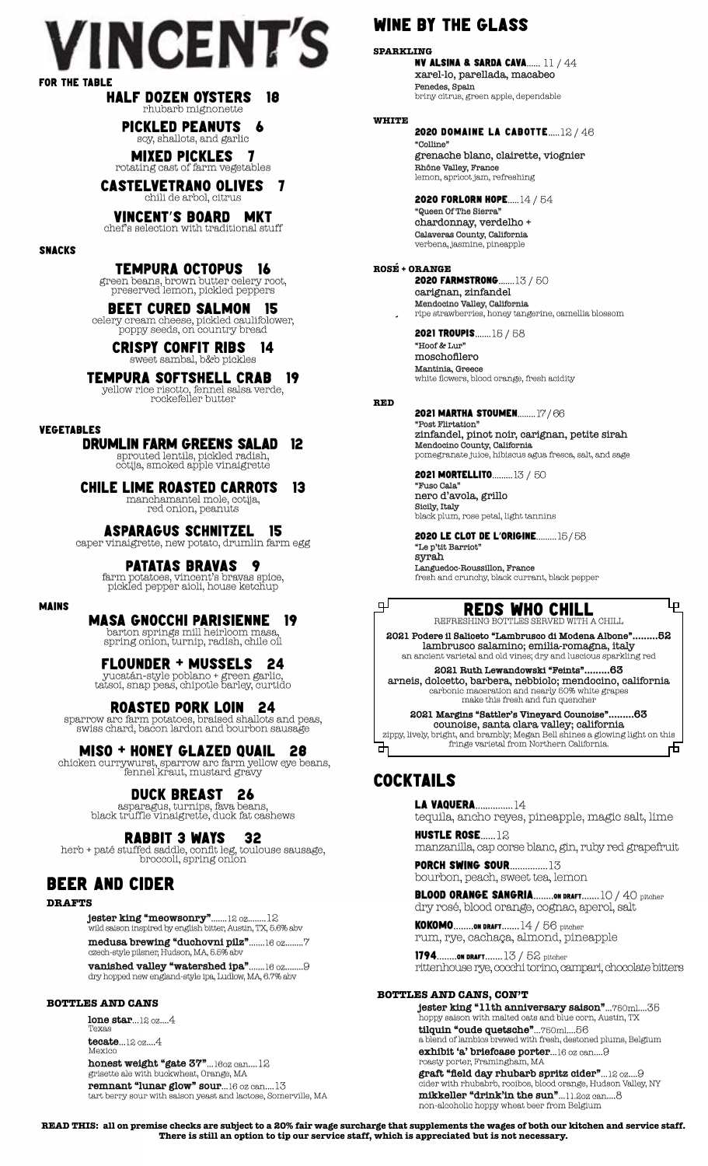# **VINCENT'S** for the table

#### half dozen oysters 18 rhubarb mignonette

pickled peanuts 6 soy, shallots, and garlic

mixed pickles 7 rotating cast of farm vegetables

castelvetrano olives 7 chili de arbol, citrus

#### vincent's board mkt chef's selection with traditional stuff

snacks

Tempura octopus 16 green beans, brown butter celery root, preserved lemon, pickled peppers

BEET CURED SALMON 15 celery cream cheese, pickled caulifolower, poppy seeds, on country bread

crispy confit ribs 14 sweet sambal, b&b pickles

tempura softshell crab 19 yellow rice risotto, fennel salsa verde, rockefeller butter

#### vegetables

mains

### drumlin farm greens salad 12

sprouted lentils, pickled radish, cotija, smoked apple vinaigrette

Chile Lime Roasted Carrots 13 manchamantel mole, cotija, red onion, peanuts

#### asparagus schnitzel 15 caper vinaigrette, new potato, drumlin farm egg

patatas bravas 9

farm potatoes, vincent's bravas spice, pickled pepper aioli, house ketchup

### masa Gnocchi Parisienne 19

barton springs mill heirloom masa, spring onion, turnip, radish, chile oil

### flounder + mussels 24

yucatán-style poblano + green garlic, tatsoi, snap peas, chipotle barley, curtido

#### roasted pork Loin 24

sparrow arc farm potatoes, braised shallots and peas, swiss chard, bacon lardon and bourbon sausage

# miso + honey glazed quail 28

chicken currywurst, sparrow arc farm yellow eye beans, fennel kraut, mustard gravy

### duck breast 26

asparagus, turnips, fava beans, black truffle vinaigrette, duck fat cashews

### RABBIT 3 WAYS 32

herb + paté stuffed saddle, confit leg, toulouse sausage, broccoli, spring onion

### beer and cider

**DRAFTS**

**jester king "meowsonry"**.......12 oz........12 wild saison inspired by english bitter, Austin, TX, 5.6% abv

**medusa brewing "duchovni pilz"**.......16 oz........7 czech-style pilsner, Hudson, MA, 5.5% abv

**vanished valley "watershed ipa"**.......16 oz........9 dry hopped new england-style ipa, Ludlow, MA, 6.7% abv

**BOTTLES AND CANS**

**lone star**...12 oz....4 Texas

**tecate**...12 oz....4 Mexico

**honest weight "gate 37"**...16oz can....12 grisette ale with buckwheat, Orange, MA **remnant "lunar glow" sour**...16 oz can....13 tart berry sour with saison yeast and lactose, Somerville, MA

### wine by the glass

**SPARKLING** nv ALSINA & Sarda cava...... 11 / 44 xarel-lo, parellada, macabeo Penedes, Spain briny citrus, green apple, dependable

#### **WHITE** 2020 Domaine la Cabotte.....12 / 46

"Colline" grenache blanc, clairette, viognier Rhône Valley, France lemon, apricot jam, refreshing

2020 forlorn hope.....14 / 54 "Queen Of The Sierra" chardonnay, verdelho + Calaveras County, California verbena, jasmine, pineapple

**ROSE + ORANGE ´** 2020 farmstrong.......13 / 50 carignan, zinfandel Mendocino Valley, California ripe strawberries, honey tangerine, camellia blossom **´**

> 2021 troupis.......15 / 58 "Hoof & Lur" moschofilero **Mantinia, Greece**<br>white flowers, blood orange, fresh acidity

**RED**

டி

#### 2021 martha stoumen........17 / 66 "Post Flirtation" zinfandel, pinot noir, carignan, petite sirah Mendocino County, California pomegranate juice, hibiscus agua fresca, salt, and sage

2021 Mortellito.........13 / 50 "Fuso Cala"

nero d'avola, grillo **Sicily, Italy**<br>black plum, rose petal, light tannins

### 2020 le clot de l'origine.........15 / 58

"Le p'tit Barriot" syrah Languedoc-Roussillon, France fresh and crunchy, black currant, black pepper

#### reds who chill REFRESHING BOTTLES SERVED WITH A CHILL

Ļρ

**2021 Podere il Saliceto "Lambrusco di Modena Albone".........52** lambrusco salamino; emilia-romagna, italy an ancient varietal and old vines; dry and luscious sparkling red

**2021 Ruth Lewandowski "Feints".........63** arneis, dolcetto, barbera, nebbiolo; mendocino, california carbonic maceration and nearly 50% white grapes make this fresh and fun quencher

2021 Margins "Sattler's Vineyard Counoise".. counoise, santa clara valley; california zippy, lively, bright, and brambly; Megan Bell shines a glowing light on this ᡆ fringe varietal from Northern California. 币

### cocktails

la vaquera...............14 tequila, ancho reyes, pineapple, magic salt, lime

hustle rose......12 manzanilla, cap corse blanc, gin, ruby red grapefruit

**PORCH SWING SOUR................13** bourbon, peach, sweet tea, lemon

blood orange sangria........on draft.......10 / 40 pitcher dry rosé, blood orange, cognac, aperol, salt

 $\textsf{KOKOMO}\textcolor{red}{.}\textsf{.}$ .......00 draft........  $14$  /  $56$  pitcher rum, rye, cachaça, almond, pineapple

1794........on draft.......13 / 52 pitcher rittenhouse rye, cocchi torino, campari, chocolate bitters

#### **BOTTLES AND CANS, CON'T**

**jester king "11th anniversary saison"**...750ml....35 hoppy saison with malted oats and blue corn, Austin, TX **tilquin "oude quetsche"**...750ml....56 a blend of lambics brewed with fresh, destoned plums, Belgium **exhibit 'a' briefcase porter**...16 oz can....9 roasty porter, Framingham, MA  **graft "field day rhubarb spritz cider"**...12 oz....9 cider with rhubabrb, rooibos, blood orange, Hudson Valley, NY **mikkeller "drink'in the sun"**...11.2oz can....8 non-alcoholic hoppy wheat beer from Belgium

**READ THIS: all on premise checks are subject to a 20% fair wage surcharge that supplements the wages of both our kitchen and service staff. There is still an option to tip our service staff, which is appreciated but is not necessary.**